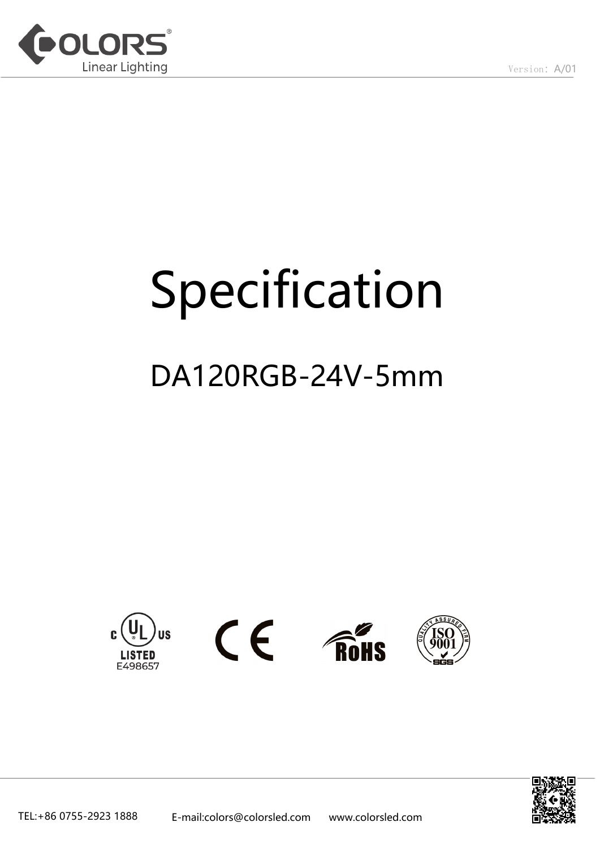

# Specification

# DA120RGB-24V-5mm



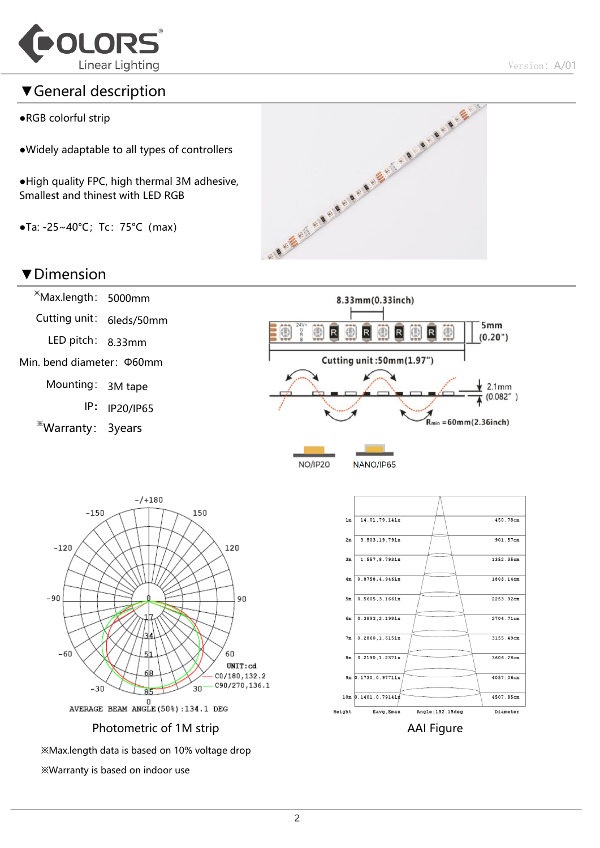

#### ▼General description

- ●RGB colorful strip
- ●Widely adaptable to all types of controllers
- ●High quality FPC, high thermal 3M adhesive, Smallest and thinest with LED RGB
- $\bullet$ Ta: -25~40°C; Tc: 75°C (max)



#### ▼Dimension



※Warranty is based on indoor use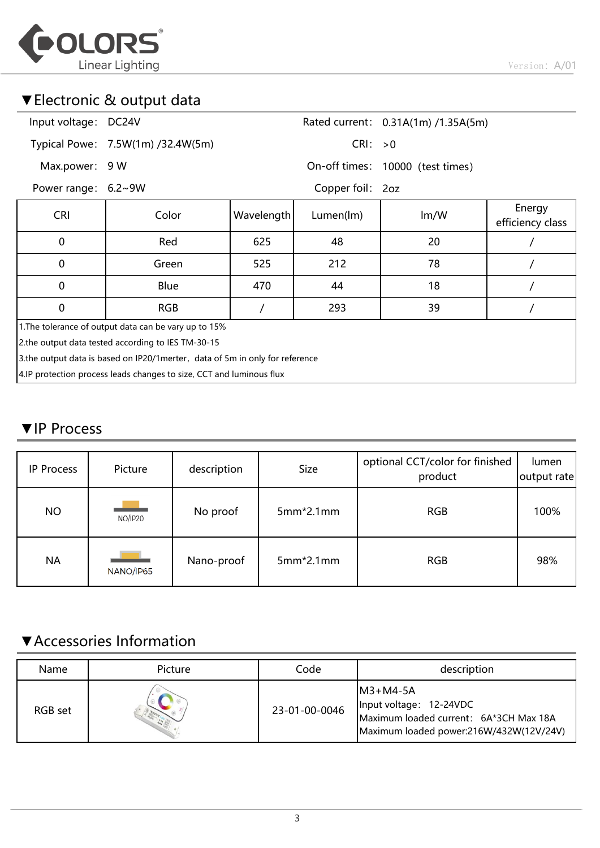

## ▼Electronic & output data

| Input voltage: DC24V                                                           |                                   |            |                  | Rated current: 0.31A(1m) /1.35A(5m) |                            |  |  |  |  |
|--------------------------------------------------------------------------------|-----------------------------------|------------|------------------|-------------------------------------|----------------------------|--|--|--|--|
|                                                                                | Typical Powe: 7.5W(1m) /32.4W(5m) |            | CRI: >0          |                                     |                            |  |  |  |  |
| Max.power: 9 W                                                                 |                                   |            |                  | On-off times: 10000 (test times)    |                            |  |  |  |  |
| Power range: 6.2~9W                                                            |                                   |            | Copper foil: 2oz |                                     |                            |  |  |  |  |
| <b>CRI</b>                                                                     | Color                             | Wavelength | Lumen(lm)        | Im/W                                | Energy<br>efficiency class |  |  |  |  |
| 0                                                                              | Red                               | 625        | 48               | 20                                  |                            |  |  |  |  |
| $\Omega$                                                                       | Green                             | 525        | 212              | 78                                  |                            |  |  |  |  |
| $\mathbf{0}$                                                                   | Blue                              | 470        | 44               | 18                                  |                            |  |  |  |  |
| $\mathbf{0}$                                                                   | <b>RGB</b>                        |            | 293              | 39                                  |                            |  |  |  |  |
| 1. The tolerance of output data can be vary up to 15%                          |                                   |            |                  |                                     |                            |  |  |  |  |
| 2.the output data tested according to IES TM-30-15                             |                                   |            |                  |                                     |                            |  |  |  |  |
| 3. the output data is based on IP20/1 merter, data of 5m in only for reference |                                   |            |                  |                                     |                            |  |  |  |  |
| 4.IP protection process leads changes to size, CCT and luminous flux           |                                   |            |                  |                                     |                            |  |  |  |  |

#### ▼IP Process

| <b>IP Process</b> | Picture   | description | Size        | optional CCT/color for finished<br>product | lumen<br>output rate |
|-------------------|-----------|-------------|-------------|--------------------------------------------|----------------------|
| <b>NO</b>         | NO/IP20   | No proof    | $5mm*2.1mm$ | <b>RGB</b>                                 | 100%                 |
| <b>NA</b>         | NANO/IP65 | Nano-proof  | $5mm*2.1mm$ | <b>RGB</b>                                 | 98%                  |

# ▼Accessories Information

| Name    | Picture | Code          | description                                                                                                                 |
|---------|---------|---------------|-----------------------------------------------------------------------------------------------------------------------------|
| RGB set |         | 23-01-00-0046 | $IM3+MA-5A$<br>Input voltage: 12-24VDC<br>Maximum loaded current: 6A*3CH Max 18A<br>Maximum loaded power:216W/432W(12V/24V) |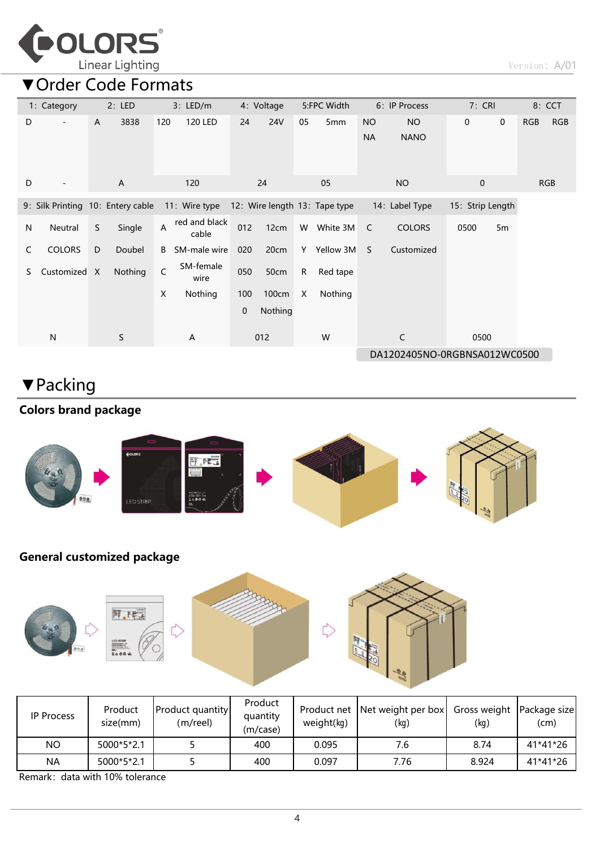

▼Order Code Formats

|    | 1: Category                       |    | 2: LED  |     | $3:$ LED/m             |     | 4: Voltage |                           | 5:FPC Width                   |                        | 6: IP Process            | 7: CRI           |             |     | 8: CCT     |
|----|-----------------------------------|----|---------|-----|------------------------|-----|------------|---------------------------|-------------------------------|------------------------|--------------------------|------------------|-------------|-----|------------|
| D  |                                   | A  | 3838    | 120 | 120 LED                | 24  | 24V        | 05                        | 5 <sub>mm</sub>               | <b>NO</b><br><b>NA</b> | <b>NO</b><br><b>NANO</b> | $\mathbf 0$      | $\mathbf 0$ | RGB | <b>RGB</b> |
| D  | $\overline{\phantom{a}}$          |    | A       |     | 120                    |     | 24         |                           | 05                            |                        | <b>NO</b>                | $\mathbf 0$      |             |     | <b>RGB</b> |
|    | 9: Silk Printing 10: Entery cable |    |         |     | 11: Wire type          |     |            |                           | 12: Wire length 13: Tape type |                        | 14: Label Type           | 15: Strip Length |             |     |            |
| N  | Neutral                           | S. | Single  | A   | red and black<br>cable | 012 | 12cm       | W                         | White 3M                      | C                      | <b>COLORS</b>            | 0500             | 5m          |     |            |
| C  | <b>COLORS</b>                     | D  | Doubel  | B   | SM-male wire           | 020 | 20cm       | Y                         | Yellow 3M                     | S.                     | Customized               |                  |             |     |            |
| S. | Customized X                      |    | Nothing | C   | SM-female<br>wire      | 050 | 50cm       | $\mathsf{R}$              | Red tape                      |                        |                          |                  |             |     |            |
|    |                                   |    |         | X   | Nothing                | 100 | 100cm      | $\boldsymbol{\mathsf{X}}$ | Nothing                       |                        |                          |                  |             |     |            |
|    |                                   |    |         |     |                        | 0   | Nothing    |                           |                               |                        |                          |                  |             |     |            |
|    | $\mathsf{N}$                      |    | S       |     | A                      |     | 012        |                           | W                             |                        | C                        | 0500             |             |     |            |
|    |                                   |    |         |     |                        |     |            |                           | DA1202405NO-0RGBNSA012WC0500  |                        |                          |                  |             |     |            |

# ▼Packing

### Colors brand package



#### General customized package



| <b>IP Process</b> | Product<br>size(mm) | <b>Product quantity</b><br>(m/reel) | Product<br>quantity<br>(m/case) | weight(kq) | Product net Net weight per box<br>(kg) | Gross weight   Package size <br>(kg) | (cm)     |  |
|-------------------|---------------------|-------------------------------------|---------------------------------|------------|----------------------------------------|--------------------------------------|----------|--|
| ΝO                | 5000*5*2.1          |                                     | 400                             | 0.095      | 7.6                                    | 8.74                                 | 41*41*26 |  |
| ΝA                | 5000*5*2.1          |                                     | 400                             | 0.097      | 7.76                                   | 8.924                                | 41*41*26 |  |

Remark: data with 10% tolerance